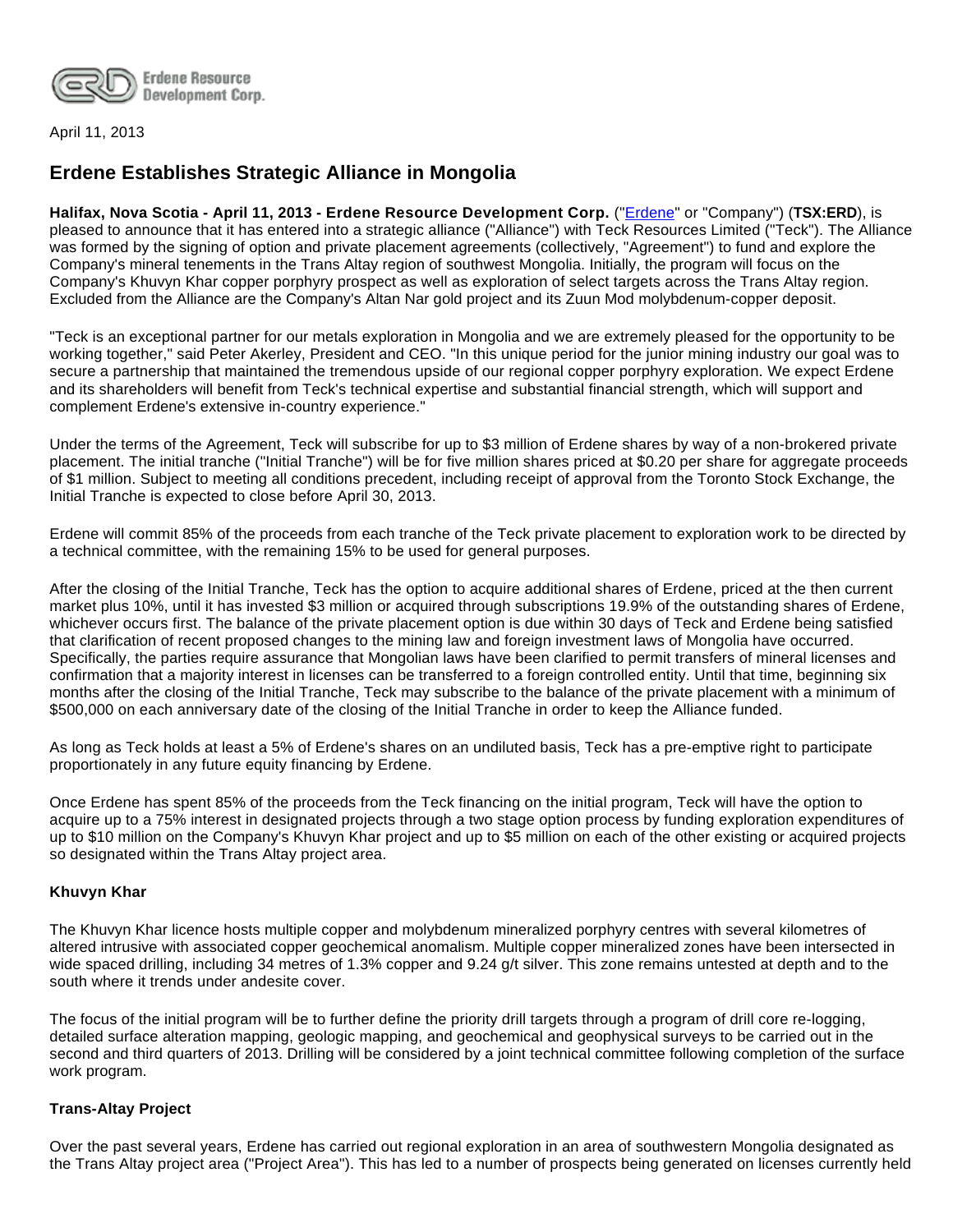

April 11, 2013

# **Erdene Establishes Strategic Alliance in Mongolia**

**Halifax, Nova Scotia - April 11, 2013 - Erdene Resource Development Corp.** ("[Erdene"](http://www.erdene.com/) or "Company") (**TSX:ERD**), is pleased to announce that it has entered into a strategic alliance ("Alliance") with Teck Resources Limited ("Teck"). The Alliance was formed by the signing of option and private placement agreements (collectively, "Agreement") to fund and explore the Company's mineral tenements in the Trans Altay region of southwest Mongolia. Initially, the program will focus on the Company's Khuvyn Khar copper porphyry prospect as well as exploration of select targets across the Trans Altay region. Excluded from the Alliance are the Company's Altan Nar gold project and its Zuun Mod molybdenum-copper deposit.

"Teck is an exceptional partner for our metals exploration in Mongolia and we are extremely pleased for the opportunity to be working together," said Peter Akerley, President and CEO. "In this unique period for the junior mining industry our goal was to secure a partnership that maintained the tremendous upside of our regional copper porphyry exploration. We expect Erdene and its shareholders will benefit from Teck's technical expertise and substantial financial strength, which will support and complement Erdene's extensive in-country experience."

Under the terms of the Agreement, Teck will subscribe for up to \$3 million of Erdene shares by way of a non-brokered private placement. The initial tranche ("Initial Tranche") will be for five million shares priced at \$0.20 per share for aggregate proceeds of \$1 million. Subject to meeting all conditions precedent, including receipt of approval from the Toronto Stock Exchange, the Initial Tranche is expected to close before April 30, 2013.

Erdene will commit 85% of the proceeds from each tranche of the Teck private placement to exploration work to be directed by a technical committee, with the remaining 15% to be used for general purposes.

After the closing of the Initial Tranche, Teck has the option to acquire additional shares of Erdene, priced at the then current market plus 10%, until it has invested \$3 million or acquired through subscriptions 19.9% of the outstanding shares of Erdene, whichever occurs first. The balance of the private placement option is due within 30 days of Teck and Erdene being satisfied that clarification of recent proposed changes to the mining law and foreign investment laws of Mongolia have occurred. Specifically, the parties require assurance that Mongolian laws have been clarified to permit transfers of mineral licenses and confirmation that a majority interest in licenses can be transferred to a foreign controlled entity. Until that time, beginning six months after the closing of the Initial Tranche, Teck may subscribe to the balance of the private placement with a minimum of \$500,000 on each anniversary date of the closing of the Initial Tranche in order to keep the Alliance funded.

As long as Teck holds at least a 5% of Erdene's shares on an undiluted basis, Teck has a pre-emptive right to participate proportionately in any future equity financing by Erdene.

Once Erdene has spent 85% of the proceeds from the Teck financing on the initial program, Teck will have the option to acquire up to a 75% interest in designated projects through a two stage option process by funding exploration expenditures of up to \$10 million on the Company's Khuvyn Khar project and up to \$5 million on each of the other existing or acquired projects so designated within the Trans Altay project area.

## **Khuvyn Khar**

The Khuvyn Khar licence hosts multiple copper and molybdenum mineralized porphyry centres with several kilometres of altered intrusive with associated copper geochemical anomalism. Multiple copper mineralized zones have been intersected in wide spaced drilling, including 34 metres of 1.3% copper and 9.24 g/t silver. This zone remains untested at depth and to the south where it trends under andesite cover.

The focus of the initial program will be to further define the priority drill targets through a program of drill core re-logging, detailed surface alteration mapping, geologic mapping, and geochemical and geophysical surveys to be carried out in the second and third quarters of 2013. Drilling will be considered by a joint technical committee following completion of the surface work program.

## **Trans-Altay Project**

Over the past several years, Erdene has carried out regional exploration in an area of southwestern Mongolia designated as the Trans Altay project area ("Project Area"). This has led to a number of prospects being generated on licenses currently held